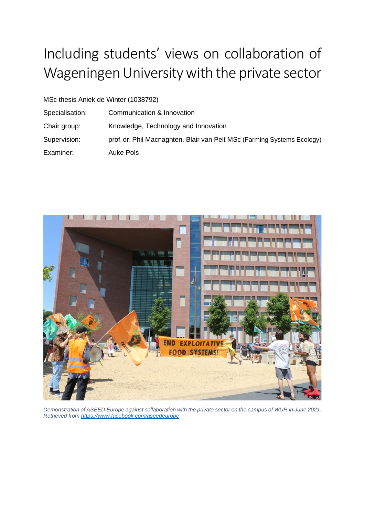# Including students' views on collaboration of Wageningen University with the private sector

MSc thesis Aniek de Winter (1038792)

Specialisation: Communication & Innovation Chair group: Knowledge, Technology and Innovation Supervision: prof. dr. Phil Macnaghten, Blair van Pelt MSc (Farming Systems Ecology) Examiner: Auke Pols



*Demonstration of ASEED Europe against collaboration with the private sector on the campus of WUR in June 2021. Retrieved from<https://www.facebook.com/aseedeurope>*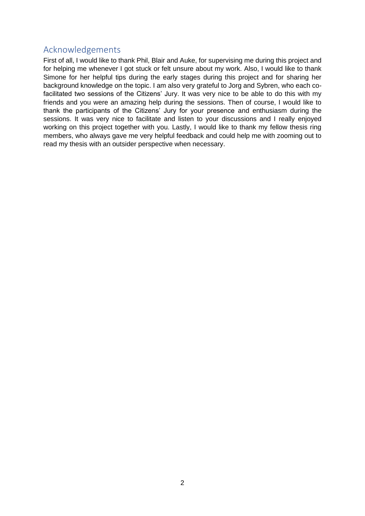#### <span id="page-1-0"></span>Acknowledgements

First of all, I would like to thank Phil, Blair and Auke, for supervising me during this project and for helping me whenever I got stuck or felt unsure about my work. Also, I would like to thank Simone for her helpful tips during the early stages during this project and for sharing her background knowledge on the topic. I am also very grateful to Jorg and Sybren, who each cofacilitated two sessions of the Citizens' Jury. It was very nice to be able to do this with my friends and you were an amazing help during the sessions. Then of course, I would like to thank the participants of the Citizens' Jury for your presence and enthusiasm during the sessions. It was very nice to facilitate and listen to your discussions and I really enjoyed working on this project together with you. Lastly, I would like to thank my fellow thesis ring members, who always gave me very helpful feedback and could help me with zooming out to read my thesis with an outsider perspective when necessary.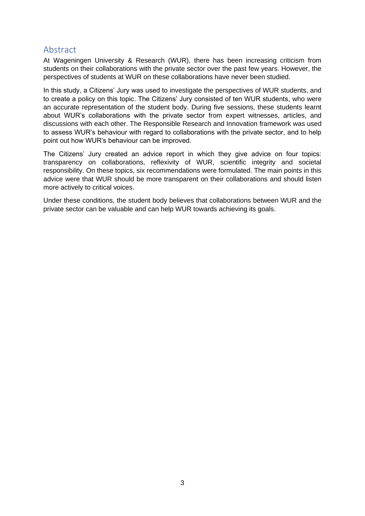#### <span id="page-2-0"></span>Abstract

At Wageningen University & Research (WUR), there has been increasing criticism from students on their collaborations with the private sector over the past few years. However, the perspectives of students at WUR on these collaborations have never been studied.

In this study, a Citizens' Jury was used to investigate the perspectives of WUR students, and to create a policy on this topic. The Citizens' Jury consisted of ten WUR students, who were an accurate representation of the student body. During five sessions, these students learnt about WUR's collaborations with the private sector from expert witnesses, articles, and discussions with each other. The Responsible Research and Innovation framework was used to assess WUR's behaviour with regard to collaborations with the private sector, and to help point out how WUR's behaviour can be improved.

The Citizens' Jury created an advice report in which they give advice on four topics: transparency on collaborations, reflexivity of WUR, scientific integrity and societal responsibility. On these topics, six recommendations were formulated. The main points in this advice were that WUR should be more transparent on their collaborations and should listen more actively to critical voices.

Under these conditions, the student body believes that collaborations between WUR and the private sector can be valuable and can help WUR towards achieving its goals.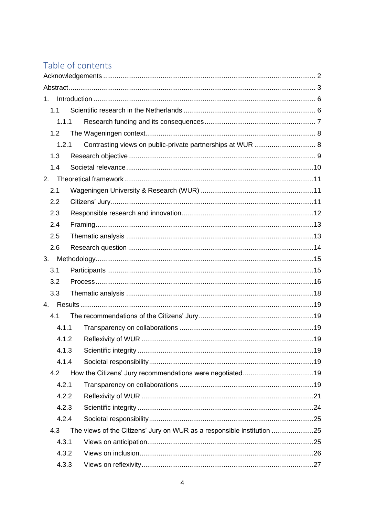## Table of contents

| $1_{-}$ |                                                                        |  |  |
|---------|------------------------------------------------------------------------|--|--|
| 1.1     |                                                                        |  |  |
| 1.1.1   |                                                                        |  |  |
| 1.2     |                                                                        |  |  |
| 1.2.1   | Contrasting views on public-private partnerships at WUR  8             |  |  |
| 1.3     |                                                                        |  |  |
| 1.4     |                                                                        |  |  |
| 2.      |                                                                        |  |  |
| 2.1     |                                                                        |  |  |
| 2.2     |                                                                        |  |  |
| 2.3     |                                                                        |  |  |
| 2.4     |                                                                        |  |  |
| 2.5     |                                                                        |  |  |
| 2.6     |                                                                        |  |  |
|         |                                                                        |  |  |
| 3.1     |                                                                        |  |  |
| 3.2     |                                                                        |  |  |
| 3.3     |                                                                        |  |  |
|         |                                                                        |  |  |
| 4.1     |                                                                        |  |  |
| 4.1.1   |                                                                        |  |  |
| 4.1.2   |                                                                        |  |  |
| 4.1.3   |                                                                        |  |  |
| 4.1.4   |                                                                        |  |  |
| 4.2     |                                                                        |  |  |
| 4.2.1   |                                                                        |  |  |
| 4.2.2   |                                                                        |  |  |
| 4.2.3   |                                                                        |  |  |
| 4.2.4   |                                                                        |  |  |
| 4.3     | The views of the Citizens' Jury on WUR as a responsible institution 25 |  |  |
| 4.3.1   |                                                                        |  |  |
| 4.3.2   |                                                                        |  |  |
| 4.3.3   |                                                                        |  |  |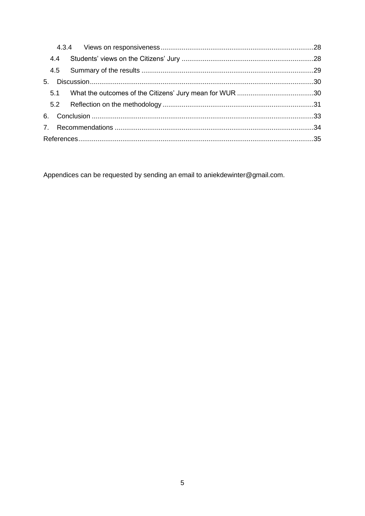Appendices can be requested by sending an email to aniekdewinter@gmail.com.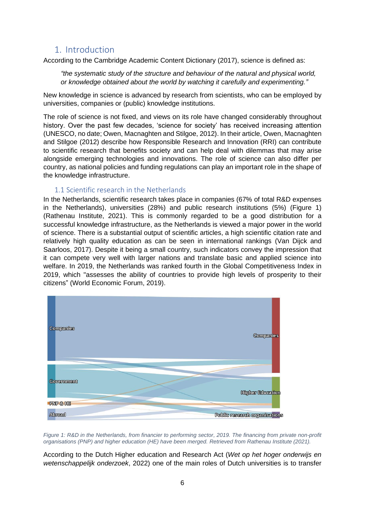#### <span id="page-5-0"></span>1. Introduction

According to the Cambridge Academic Content Dictionary (2017), science is defined as:

*"the systematic study of the structure and behaviour of the natural and physical world, or knowledge obtained about the world by watching it carefully and experimenting."*

New knowledge in science is advanced by research from scientists, who can be employed by universities, companies or (public) knowledge institutions.

The role of science is not fixed, and views on its role have changed considerably throughout history. Over the past few decades, 'science for society' has received increasing attention (UNESCO, no date; Owen, Macnaghten and Stilgoe, 2012). In their article, Owen, Macnaghten and Stilgoe (2012) describe how Responsible Research and Innovation (RRI) can contribute to scientific research that benefits society and can help deal with dilemmas that may arise alongside emerging technologies and innovations. The role of science can also differ per country, as national policies and funding regulations can play an important role in the shape of the knowledge infrastructure.

#### 1.1 Scientific research in the Netherlands

<span id="page-5-1"></span>In the Netherlands, scientific research takes place in companies (67% of total R&D expenses in the Netherlands), universities (28%) and public research institutions (5%) [\(Figure 1\)](#page-5-2) (Rathenau Institute, 2021). This is commonly regarded to be a good distribution for a successful knowledge infrastructure, as the Netherlands is viewed a major power in the world of science. There is a substantial output of scientific articles, a high scientific citation rate and relatively high quality education as can be seen in international rankings (Van Dijck and Saarloos, 2017). Despite it being a small country, such indicators convey the impression that it can compete very well with larger nations and translate basic and applied science into welfare. In 2019, the Netherlands was ranked fourth in the Global Competitiveness Index in 2019, which "assesses the ability of countries to provide high levels of prosperity to their citizens" (World Economic Forum, 2019).



<span id="page-5-2"></span>*Figure 1: R&D in the Netherlands, from financier to performing sector, 2019. The financing from private non-profit organisations (PNP) and higher education (HE) have been merged. Retrieved from Rathenau Institute (2021).*

According to the Dutch Higher education and Research Act (*Wet op het hoger onderwijs en wetenschappelijk onderzoek*, 2022) one of the main roles of Dutch universities is to transfer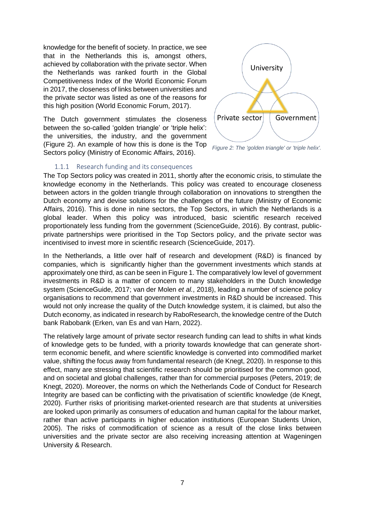knowledge for the benefit of society. In practice, we see that in the Netherlands this is, amongst others, achieved by collaboration with the private sector. When the Netherlands was ranked fourth in the Global Competitiveness Index of the World Economic Forum in 2017, the closeness of links between universities and the private sector was listed as one of the reasons for this high position (World Economic Forum, 2017).

The Dutch government stimulates the closeness between the so-called 'golden triangle' or 'triple helix': the universities, the industry, and the government [\(Figure 2\)](#page-6-1). An example of how this is done is the Top Sectors policy (Ministry of Economic Affairs, 2016).



<span id="page-6-1"></span>*Figure 2: The 'golden triangle' or 'triple helix'.*

#### 1.1.1 Research funding and its consequences

<span id="page-6-0"></span>The Top Sectors policy was created in 2011, shortly after the economic crisis, to stimulate the knowledge economy in the Netherlands. This policy was created to encourage closeness between actors in the golden triangle through collaboration on innovations to strengthen the Dutch economy and devise solutions for the challenges of the future (Ministry of Economic Affairs, 2016). This is done in nine sectors, the Top Sectors, in which the Netherlands is a global leader. When this policy was introduced, basic scientific research received proportionately less funding from the government (ScienceGuide, 2016). By contrast, publicprivate partnerships were prioritised in the Top Sectors policy, and the private sector was incentivised to invest more in scientific research (ScienceGuide, 2017).

In the Netherlands, a little over half of research and development (R&D) is financed by companies, which is significantly higher than the government investments which stands at approximately one third, as can be seen i[n Figure 1.](#page-5-2) The comparatively low level of government investments in R&D is a matter of concern to many stakeholders in the Dutch knowledge system (ScienceGuide, 2017; van der Molen *et al.*, 2018), leading a number of science policy organisations to recommend that government investments in R&D should be increased. This would not only increase the quality of the Dutch knowledge system, it is claimed, but also the Dutch economy, as indicated in research by RaboResearch, the knowledge centre of the Dutch bank Rabobank (Erken, van Es and van Harn, 2022).

The relatively large amount of private sector research funding can lead to shifts in what kinds of knowledge gets to be funded, with a priority towards knowledge that can generate shortterm economic benefit, and where scientific knowledge is converted into commodified market value, shifting the focus away from fundamental research (de Knegt, 2020). In response to this effect, many are stressing that scientific research should be prioritised for the common good, and on societal and global challenges, rather than for commercial purposes (Peters, 2019; de Knegt, 2020). Moreover, the norms on which the Netherlands Code of Conduct for Research Integrity are based can be conflicting with the privatisation of scientific knowledge (de Knegt, 2020). Further risks of prioritising market-oriented research are that students at universities are looked upon primarily as consumers of education and human capital for the labour market, rather than active participants in higher education institutions (European Students Union, 2005). The risks of commodification of science as a result of the close links between universities and the private sector are also receiving increasing attention at Wageningen University & Research.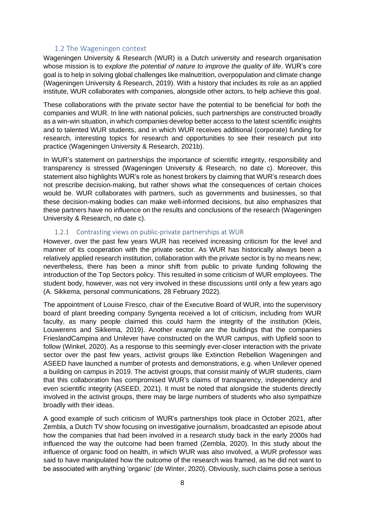#### 1.2 The Wageningen context

<span id="page-7-0"></span>Wageningen University & Research (WUR) is a Dutch university and research organisation whose mission is to *explore the potential of nature to improve the quality of life*. WUR's core goal is to help in solving global challenges like malnutrition, overpopulation and climate change (Wageningen University & Research, 2019). With a history that includes its role as an applied institute, WUR collaborates with companies, alongside other actors, to help achieve this goal.

These collaborations with the private sector have the potential to be beneficial for both the companies and WUR. In line with national policies, such partnerships are constructed broadly as a win-win situation, in which companies develop better access to the latest scientific insights and to talented WUR students, and in which WUR receives additional (corporate) funding for research, interesting topics for research and opportunities to see their research put into practice (Wageningen University & Research, 2021b).

In WUR's statement on partnerships the importance of scientific integrity, responsibility and transparency is stressed (Wageningen University & Research, no date c). Moreover, this statement also highlights WUR's role as honest brokers by claiming that WUR's research does not prescribe decision-making, but rather shows what the consequences of certain choices would be. WUR collaborates with partners, such as governments and businesses, so that these decision-making bodies can make well-informed decisions, but also emphasizes that these partners have no influence on the results and conclusions of the research (Wageningen University & Research, no date c).

#### 1.2.1 Contrasting views on public-private partnerships at WUR

<span id="page-7-1"></span>However, over the past few years WUR has received increasing criticism for the level and manner of its cooperation with the private sector. As WUR has historically always been a relatively applied research institution, collaboration with the private sector is by no means new; nevertheless, there has been a minor shift from public to private funding following the introduction of the Top Sectors policy. This resulted in some criticism of WUR employees. The student body, however, was not very involved in these discussions until only a few years ago (A. Sikkema, personal communications, 28 February 2022).

The appointment of Louise Fresco, chair of the Executive Board of WUR, into the supervisory board of plant breeding company Syngenta received a lot of criticism, including from WUR faculty, as many people claimed this could harm the integrity of the institution (Kleis, Louwerens and Sikkema, 2019). Another example are the buildings that the companies FrieslandCampina and Unilever have constructed on the WUR campus, with Upfield soon to follow (Winkel, 2020). As a response to this seemingly ever-closer interaction with the private sector over the past few years, activist groups like Extinction Rebellion Wageningen and ASEED have launched a number of protests and demonstrations, e.g. when Unilever opened a building on campus in 2019. The activist groups, that consist mainly of WUR students, claim that this collaboration has compromised WUR's claims of transparency, independency and even scientific integrity (ASEED, 2021). It must be noted that alongside the students directly involved in the activist groups, there may be large numbers of students who also sympathize broadly with their ideas.

A good example of such criticism of WUR's partnerships took place in October 2021, after Zembla, a Dutch TV show focusing on investigative journalism, broadcasted an episode about how the companies that had been involved in a research study back in the early 2000s had influenced the way the outcome had been framed (Zembla, 2020). In this study about the influence of organic food on health, in which WUR was also involved, a WUR professor was said to have manipulated how the outcome of the research was framed, as he did not want to be associated with anything 'organic' (de Winter, 2020). Obviously, such claims pose a serious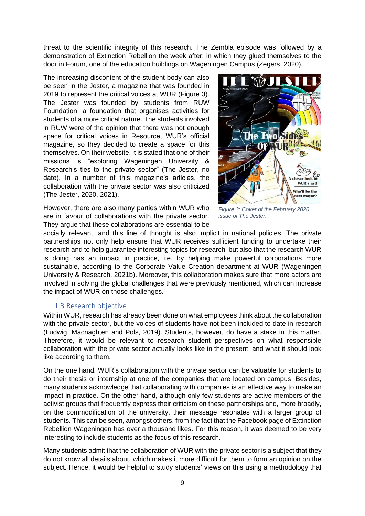threat to the scientific integrity of this research. The Zembla episode was followed by a demonstration of Extinction Rebellion the week after, in which they glued themselves to the door in Forum, one of the education buildings on Wageningen Campus (Zegers, 2020).

The increasing discontent of the student body can also be seen in the Jester, a magazine that was founded in 2019 to represent the critical voices at WUR [\(Figure 3\)](#page-8-1). The Jester was founded by students from RUW Foundation, a foundation that organises activities for students of a more critical nature. The students involved in RUW were of the opinion that there was not enough space for critical voices in Resource, WUR's official magazine, so they decided to create a space for this themselves. On their website, it is stated that one of their missions is "exploring Wageningen University & Research's ties to the private sector" (The Jester, no date). In a number of this magazine's articles, the collaboration with the private sector was also criticized (The Jester, 2020, 2021).



However, there are also many parties within WUR who are in favour of collaborations with the private sector. They argue that these collaborations are essential to be

<span id="page-8-1"></span>*Figure 3: Cover of the February 2020 issue of The Jester.*

socially relevant, and this line of thought is also implicit in national policies. The private partnerships not only help ensure that WUR receives sufficient funding to undertake their research and to help guarantee interesting topics for research, but also that the research WUR is doing has an impact in practice, i.e. by helping make powerful corporations more sustainable, according to the Corporate Value Creation department at WUR (Wageningen University & Research, 2021b). Moreover, this collaboration makes sure that more actors are involved in solving the global challenges that were previously mentioned, which can increase the impact of WUR on those challenges.

#### 1.3 Research objective

<span id="page-8-0"></span>Within WUR, research has already been done on what employees think about the collaboration with the private sector, but the voices of students have not been included to date in research (Ludwig, Macnaghten and Pols, 2019). Students, however, do have a stake in this matter. Therefore, it would be relevant to research student perspectives on what responsible collaboration with the private sector actually looks like in the present, and what it should look like according to them.

On the one hand, WUR's collaboration with the private sector can be valuable for students to do their thesis or internship at one of the companies that are located on campus. Besides, many students acknowledge that collaborating with companies is an effective way to make an impact in practice. On the other hand, although only few students are active members of the activist groups that frequently express their criticism on these partnerships and, more broadly, on the commodification of the university, their message resonates with a larger group of students. This can be seen, amongst others, from the fact that the Facebook page of Extinction Rebellion Wageningen has over a thousand likes. For this reason, it was deemed to be very interesting to include students as the focus of this research.

Many students admit that the collaboration of WUR with the private sector is a subject that they do not know all details about, which makes it more difficult for them to form an opinion on the subject. Hence, it would be helpful to study students' views on this using a methodology that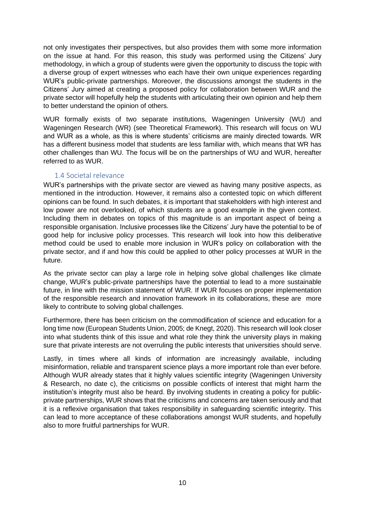not only investigates their perspectives, but also provides them with some more information on the issue at hand. For this reason, this study was performed using the Citizens' Jury methodology, in which a group of students were given the opportunity to discuss the topic with a diverse group of expert witnesses who each have their own unique experiences regarding WUR's public-private partnerships. Moreover, the discussions amongst the students in the Citizens' Jury aimed at creating a proposed policy for collaboration between WUR and the private sector will hopefully help the students with articulating their own opinion and help them to better understand the opinion of others.

WUR formally exists of two separate institutions, Wageningen University (WU) and Wageningen Research (WR) (see Theoretical Framework). This research will focus on WU and WUR as a whole, as this is where students' criticisms are mainly directed towards. WR has a different business model that students are less familiar with, which means that WR has other challenges than WU. The focus will be on the partnerships of WU and WUR, hereafter referred to as WUR.

#### 1.4 Societal relevance

<span id="page-9-0"></span>WUR's partnerships with the private sector are viewed as having many positive aspects, as mentioned in the introduction. However, it remains also a contested topic on which different opinions can be found. In such debates, it is important that stakeholders with high interest and low power are not overlooked, of which students are a good example in the given context. Including them in debates on topics of this magnitude is an important aspect of being a responsible organisation. Inclusive processes like the Citizens' Jury have the potential to be of good help for inclusive policy processes. This research will look into how this deliberative method could be used to enable more inclusion in WUR's policy on collaboration with the private sector, and if and how this could be applied to other policy processes at WUR in the future.

As the private sector can play a large role in helping solve global challenges like climate change, WUR's public-private partnerships have the potential to lead to a more sustainable future, in line with the mission statement of WUR. If WUR focuses on proper implementation of the responsible research and innovation framework in its collaborations, these are more likely to contribute to solving global challenges.

Furthermore, there has been criticism on the commodification of science and education for a long time now (European Students Union, 2005; de Knegt, 2020). This research will look closer into what students think of this issue and what role they think the university plays in making sure that private interests are not overruling the public interests that universities should serve.

Lastly, in times where all kinds of information are increasingly available, including misinformation, reliable and transparent science plays a more important role than ever before. Although WUR already states that it highly values scientific integrity (Wageningen University & Research, no date c), the criticisms on possible conflicts of interest that might harm the institution's integrity must also be heard. By involving students in creating a policy for publicprivate partnerships, WUR shows that the criticisms and concerns are taken seriously and that it is a reflexive organisation that takes responsibility in safeguarding scientific integrity. This can lead to more acceptance of these collaborations amongst WUR students, and hopefully also to more fruitful partnerships for WUR.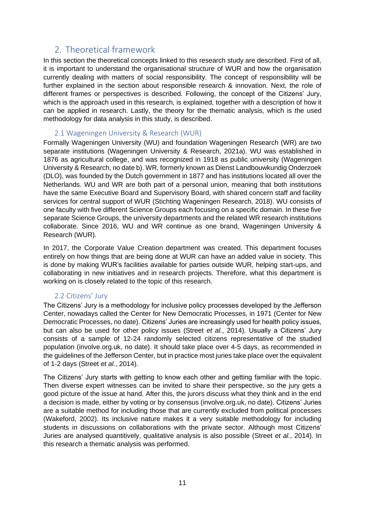### <span id="page-10-0"></span>2. Theoretical framework

In this section the theoretical concepts linked to this research study are described. First of all, it is important to understand the organisational structure of WUR and how the organisation currently dealing with matters of social responsibility. The concept of responsibility will be further explained in the section about responsible research & innovation. Next, the role of different frames or perspectives is described. Following, the concept of the Citizens' Jury, which is the approach used in this research, is explained, together with a description of how it can be applied in research. Lastly, the theory for the thematic analysis, which is the used methodology for data analysis in this study, is described.

#### 2.1 Wageningen University & Research (WUR)

<span id="page-10-1"></span>Formally Wageningen University (WU) and foundation Wageningen Research (WR) are two separate institutions (Wageningen University & Research, 2021a). WU was established in 1876 as agricultural college, and was recognized in 1918 as public university (Wageningen University & Research, no date b). WR, formerly known as Dienst Landbouwkundig Onderzoek (DLO), was founded by the Dutch government in 1877 and has institutions located all over the Netherlands. WU and WR are both part of a personal union, meaning that both institutions have the same Executive Board and Supervisory Board, with shared concern staff and facility services for central support of WUR (Stichting Wageningen Research, 2018). WU consists of one faculty with five different Science Groups each focusing on a specific domain. In these five separate Science Groups, the university departments and the related WR research institutions collaborate. Since 2016, WU and WR continue as one brand, Wageningen University & Research (WUR).

In 2017, the Corporate Value Creation department was created. This department focuses entirely on how things that are being done at WUR can have an added value in society. This is done by making WUR's facilities available for parties outside WUR, helping start-ups, and collaborating in new initiatives and in research projects. Therefore, what this department is working on is closely related to the topic of this research.

#### 2.2 Citizens' Jury

<span id="page-10-2"></span>The Citizens' Jury is a methodology for inclusive policy processes developed by the Jefferson Center, nowadays called the Center for New Democratic Processes, in 1971 (Center for New Democratic Processes, no date). Citizens' Juries are increasingly used for health policy issues, but can also be used for other policy issues (Street *et al.*, 2014). Usually a Citizens' Jury consists of a sample of 12-24 randomly selected citizens representative of the studied population (involve.org.uk, no date). It should take place over 4-5 days, as recommended in the guidelines of the Jefferson Center, but in practice most juries take place over the equivalent of 1-2 days (Street *et al.*, 2014).

The Citizens' Jury starts with getting to know each other and getting familiar with the topic. Then diverse expert witnesses can be invited to share their perspective, so the jury gets a good picture of the issue at hand. After this, the jurors discuss what they think and in the end a decision is made, either by voting or by consensus (involve.org.uk, no date). Citizens' Juries are a suitable method for including those that are currently excluded from political processes (Wakeford, 2002). Its inclusive nature makes it a very suitable methodology for including students in discussions on collaborations with the private sector. Although most Citizens' Juries are analysed quantitively, qualitative analysis is also possible (Street *et al.*, 2014). In this research a thematic analysis was performed.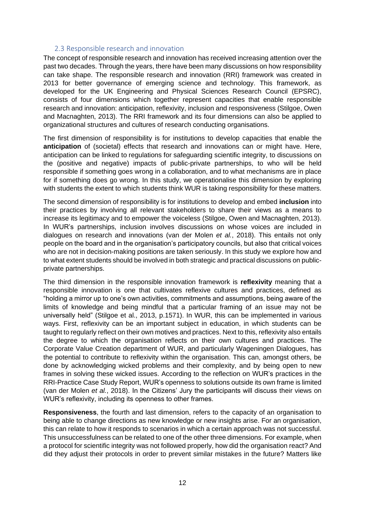#### 2.3 Responsible research and innovation

<span id="page-11-0"></span>The concept of responsible research and innovation has received increasing attention over the past two decades. Through the years, there have been many discussions on how responsibility can take shape. The responsible research and innovation (RRI) framework was created in 2013 for better governance of emerging science and technology. This framework, as developed for the UK Engineering and Physical Sciences Research Council (EPSRC), consists of four dimensions which together represent capacities that enable responsible research and innovation: anticipation, reflexivity, inclusion and responsiveness (Stilgoe, Owen and Macnaghten, 2013). The RRI framework and its four dimensions can also be applied to organizational structures and cultures of research conducting organisations.

The first dimension of responsibility is for institutions to develop capacities that enable the **anticipation** of (societal) effects that research and innovations can or might have. Here, anticipation can be linked to regulations for safeguarding scientific integrity, to discussions on the (positive and negative) impacts of public-private partnerships, to who will be held responsible if something goes wrong in a collaboration, and to what mechanisms are in place for if something does go wrong. In this study, we operationalise this dimension by exploring with students the extent to which students think WUR is taking responsibility for these matters.

The second dimension of responsibility is for institutions to develop and embed **inclusion** into their practices by involving all relevant stakeholders to share their views as a means to increase its legitimacy and to empower the voiceless (Stilgoe, Owen and Macnaghten, 2013). In WUR's partnerships, inclusion involves discussions on whose voices are included in dialogues on research and innovations (van der Molen *et al.*, 2018). This entails not only people on the board and in the organisation's participatory councils, but also that critical voices who are not in decision-making positions are taken seriously. In this study we explore how and to what extent students should be involved in both strategic and practical discussions on publicprivate partnerships.

The third dimension in the responsible innovation framework is **reflexivity** meaning that a responsible innovation is one that cultivates reflexive cultures and practices, defined as "holding a mirror up to one's own activities, commitments and assumptions, being aware of the limits of knowledge and being mindful that a particular framing of an issue may not be universally held" (Stilgoe et al., 2013, p.1571). In WUR, this can be implemented in various ways. First, reflexivity can be an important subject in education, in which students can be taught to regularly reflect on their own motives and practices. Next to this, reflexivity also entails the degree to which the organisation reflects on their own cultures and practices. The Corporate Value Creation department of WUR, and particularly Wageningen Dialogues, has the potential to contribute to reflexivity within the organisation. This can, amongst others, be done by acknowledging wicked problems and their complexity, and by being open to new frames in solving these wicked issues. According to the reflection on WUR's practices in the RRI-Practice Case Study Report, WUR's openness to solutions outside its own frame is limited (van der Molen *et al.*, 2018). In the Citizens' Jury the participants will discuss their views on WUR's reflexivity, including its openness to other frames.

**Responsiveness**, the fourth and last dimension, refers to the capacity of an organisation to being able to change directions as new knowledge or new insights arise. For an organisation, this can relate to how it responds to scenarios in which a certain approach was not successful. This unsuccessfulness can be related to one of the other three dimensions. For example, when a protocol for scientific integrity was not followed properly, how did the organisation react? And did they adjust their protocols in order to prevent similar mistakes in the future? Matters like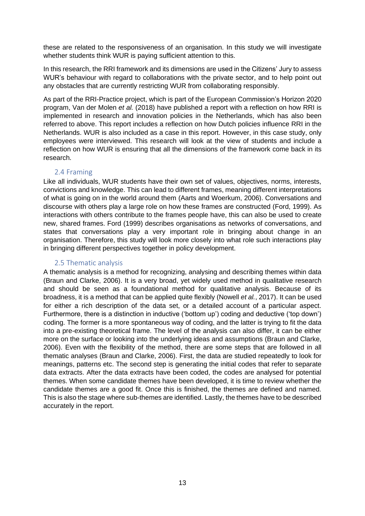these are related to the responsiveness of an organisation. In this study we will investigate whether students think WUR is paying sufficient attention to this.

In this research, the RRI framework and its dimensions are used in the Citizens' Jury to assess WUR's behaviour with regard to collaborations with the private sector, and to help point out any obstacles that are currently restricting WUR from collaborating responsibly.

As part of the RRI-Practice project, which is part of the European Commission's Horizon 2020 program, Van der Molen *et al.* (2018) have published a report with a reflection on how RRI is implemented in research and innovation policies in the Netherlands, which has also been referred to above. This report includes a reflection on how Dutch policies influence RRI in the Netherlands. WUR is also included as a case in this report. However, in this case study, only employees were interviewed. This research will look at the view of students and include a reflection on how WUR is ensuring that all the dimensions of the framework come back in its research.

#### 2.4 Framing

<span id="page-12-0"></span>Like all individuals, WUR students have their own set of values, objectives, norms, interests, convictions and knowledge. This can lead to different frames, meaning different interpretations of what is going on in the world around them (Aarts and Woerkum, 2006). Conversations and discourse with others play a large role on how these frames are constructed (Ford, 1999). As interactions with others contribute to the frames people have, this can also be used to create new, shared frames. Ford (1999) describes organisations as networks of conversations, and states that conversations play a very important role in bringing about change in an organisation. Therefore, this study will look more closely into what role such interactions play in bringing different perspectives together in policy development.

#### 2.5 Thematic analysis

<span id="page-12-1"></span>A thematic analysis is a method for recognizing, analysing and describing themes within data (Braun and Clarke, 2006). It is a very broad, yet widely used method in qualitative research and should be seen as a foundational method for qualitative analysis. Because of its broadness, it is a method that can be applied quite flexibly (Nowell *et al.*, 2017). It can be used for either a rich description of the data set, or a detailed account of a particular aspect. Furthermore, there is a distinction in inductive ('bottom up') coding and deductive ('top down') coding. The former is a more spontaneous way of coding, and the latter is trying to fit the data into a pre-existing theoretical frame. The level of the analysis can also differ, it can be either more on the surface or looking into the underlying ideas and assumptions (Braun and Clarke, 2006). Even with the flexibility of the method, there are some steps that are followed in all thematic analyses (Braun and Clarke, 2006). First, the data are studied repeatedly to look for meanings, patterns etc. The second step is generating the initial codes that refer to separate data extracts. After the data extracts have been coded, the codes are analysed for potential themes. When some candidate themes have been developed, it is time to review whether the candidate themes are a good fit. Once this is finished, the themes are defined and named. This is also the stage where sub-themes are identified. Lastly, the themes have to be described accurately in the report.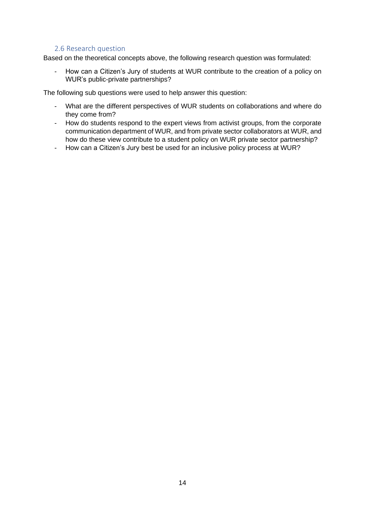#### 2.6 Research question

<span id="page-13-0"></span>Based on the theoretical concepts above, the following research question was formulated:

- How can a Citizen's Jury of students at WUR contribute to the creation of a policy on WUR's public-private partnerships?

The following sub questions were used to help answer this question:

- What are the different perspectives of WUR students on collaborations and where do they come from?
- How do students respond to the expert views from activist groups, from the corporate communication department of WUR, and from private sector collaborators at WUR, and how do these view contribute to a student policy on WUR private sector partnership?
- How can a Citizen's Jury best be used for an inclusive policy process at WUR?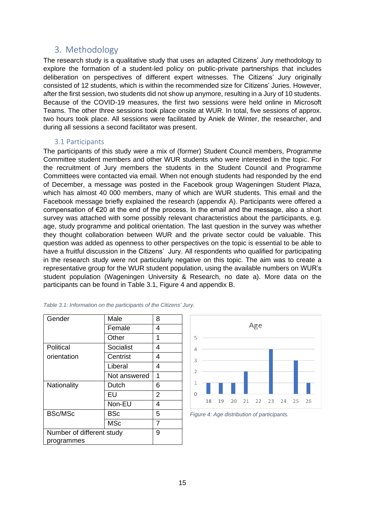#### <span id="page-14-0"></span>3. Methodology

The research study is a qualitative study that uses an adapted Citizens' Jury methodology to explore the formation of a student-led policy on public-private partnerships that includes deliberation on perspectives of different expert witnesses. The Citizens' Jury originally consisted of 12 students, which is within the recommended size for Citizens' Juries. However, after the first session, two students did not show up anymore, resulting in a Jury of 10 students. Because of the COVID-19 measures, the first two sessions were held online in Microsoft Teams. The other three sessions took place onsite at WUR. In total, five sessions of approx. two hours took place. All sessions were facilitated by Aniek de Winter, the researcher, and during all sessions a second facilitator was present.

#### 3.1 Participants

<span id="page-14-1"></span>The participants of this study were a mix of (former) Student Council members, Programme Committee student members and other WUR students who were interested in the topic. For the recruitment of Jury members the students in the Student Council and Programme Committees were contacted via email. When not enough students had responded by the end of December, a message was posted in the Facebook group Wageningen Student Plaza, which has almost 40 000 members, many of which are WUR students. This email and the Facebook message briefly explained the research (appendix A). Participants were offered a compensation of €20 at the end of the process. In the email and the message, also a short survey was attached with some possibly relevant characteristics about the participants, e.g. age, study programme and political orientation. The last question in the survey was whether they thought collaboration between WUR and the private sector could be valuable. This question was added as openness to other perspectives on the topic is essential to be able to have a fruitful discussion in the Citizens' Jury. All respondents who qualified for participating in the research study were not particularly negative on this topic. The aim was to create a representative group for the WUR student population, using the available numbers on WUR's student population (Wageningen University & Research, no date a). More data on the participants can be found in [Table 3.1,](#page-14-2) [Figure 4](#page-14-3) and appendix B.

| Gender                    | Male         | 8 |
|---------------------------|--------------|---|
|                           | Female       | 4 |
|                           | Other        | 1 |
| Political                 | Socialist    | 4 |
| orientation               | Centrist     | 4 |
|                           | Liberal      | 4 |
|                           | Not answered | 1 |
| Nationality               | Dutch        | 6 |
|                           | EU           | 2 |
|                           | Non-EU       | 4 |
| <b>BSc/MSc</b>            | <b>BSc</b>   | 5 |
|                           | <b>MSc</b>   |   |
| Number of different study | 9            |   |
| programmes                |              |   |



<span id="page-14-3"></span>*Figure 4: Age distribution of participants.*

<span id="page-14-2"></span>*Table 3.1: Information on the participants of the Citizens' Jury.*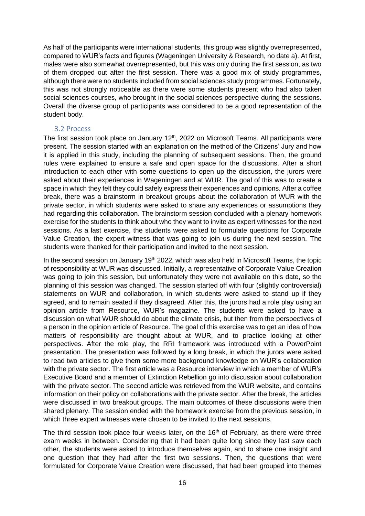As half of the participants were international students, this group was slightly overrepresented, compared to WUR's facts and figures (Wageningen University & Research, no date a). At first, males were also somewhat overrepresented, but this was only during the first session, as two of them dropped out after the first session. There was a good mix of study programmes, although there were no students included from social sciences study programmes. Fortunately, this was not strongly noticeable as there were some students present who had also taken social sciences courses, who brought in the social sciences perspective during the sessions. Overall the diverse group of participants was considered to be a good representation of the student body.

#### <span id="page-15-0"></span>3.2 Process

The first session took place on January  $12<sup>th</sup>$ , 2022 on Microsoft Teams. All participants were present. The session started with an explanation on the method of the Citizens' Jury and how it is applied in this study, including the planning of subsequent sessions. Then, the ground rules were explained to ensure a safe and open space for the discussions. After a short introduction to each other with some questions to open up the discussion, the jurors were asked about their experiences in Wageningen and at WUR. The goal of this was to create a space in which they felt they could safely express their experiences and opinions. After a coffee break, there was a brainstorm in breakout groups about the collaboration of WUR with the private sector, in which students were asked to share any experiences or assumptions they had regarding this collaboration. The brainstorm session concluded with a plenary homework exercise for the students to think about who they want to invite as expert witnesses for the next sessions. As a last exercise, the students were asked to formulate questions for Corporate Value Creation, the expert witness that was going to join us during the next session. The students were thanked for their participation and invited to the next session.

In the second session on January 19<sup>th</sup> 2022, which was also held in Microsoft Teams, the topic of responsibility at WUR was discussed. Initially, a representative of Corporate Value Creation was going to join this session, but unfortunately they were not available on this date, so the planning of this session was changed. The session started off with four (slightly controversial) statements on WUR and collaboration, in which students were asked to stand up if they agreed, and to remain seated if they disagreed. After this, the jurors had a role play using an opinion article from Resource, WUR's magazine. The students were asked to have a discussion on what WUR should do about the climate crisis, but then from the perspectives of a person in the opinion article of Resource. The goal of this exercise was to get an idea of how matters of responsibility are thought about at WUR, and to practice looking at other perspectives. After the role play, the RRI framework was introduced with a PowerPoint presentation. The presentation was followed by a long break, in which the jurors were asked to read two articles to give them some more background knowledge on WUR's collaboration with the private sector. The first article was a Resource interview in which a member of WUR's Executive Board and a member of Extinction Rebellion go into discussion about collaboration with the private sector. The second article was retrieved from the WUR website, and contains information on their policy on collaborations with the private sector. After the break, the articles were discussed in two breakout groups. The main outcomes of these discussions were then shared plenary. The session ended with the homework exercise from the previous session, in which three expert witnesses were chosen to be invited to the next sessions.

The third session took place four weeks later, on the  $16<sup>th</sup>$  of February, as there were three exam weeks in between. Considering that it had been quite long since they last saw each other, the students were asked to introduce themselves again, and to share one insight and one question that they had after the first two sessions. Then, the questions that were formulated for Corporate Value Creation were discussed, that had been grouped into themes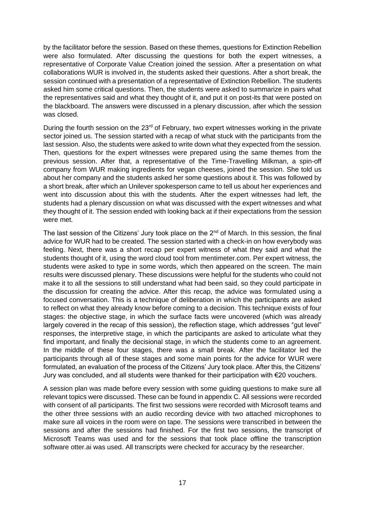by the facilitator before the session. Based on these themes, questions for Extinction Rebellion were also formulated. After discussing the questions for both the expert witnesses, a representative of Corporate Value Creation joined the session. After a presentation on what collaborations WUR is involved in, the students asked their questions. After a short break, the session continued with a presentation of a representative of Extinction Rebellion. The students asked him some critical questions. Then, the students were asked to summarize in pairs what the representatives said and what they thought of it, and put it on post-its that were posted on the blackboard. The answers were discussed in a plenary discussion, after which the session was closed.

During the fourth session on the  $23<sup>rd</sup>$  of February, two expert witnesses working in the private sector joined us. The session started with a recap of what stuck with the participants from the last session. Also, the students were asked to write down what they expected from the session. Then, questions for the expert witnesses were prepared using the same themes from the previous session. After that, a representative of the Time-Travelling Milkman, a spin-off company from WUR making ingredients for vegan cheeses, joined the session. She told us about her company and the students asked her some questions about it. This was followed by a short break, after which an Unilever spokesperson came to tell us about her experiences and went into discussion about this with the students. After the expert witnesses had left, the students had a plenary discussion on what was discussed with the expert witnesses and what they thought of it. The session ended with looking back at if their expectations from the session were met.

The last session of the Citizens' Jury took place on the  $2<sup>nd</sup>$  of March. In this session, the final advice for WUR had to be created. The session started with a check-in on how everybody was feeling. Next, there was a short recap per expert witness of what they said and what the students thought of it, using the word cloud tool from mentimeter.com. Per expert witness, the students were asked to type in some words, which then appeared on the screen. The main results were discussed plenary. These discussions were helpful for the students who could not make it to all the sessions to still understand what had been said, so they could participate in the discussion for creating the advice. After this recap, the advice was formulated using a focused conversation. This is a technique of deliberation in which the participants are asked to reflect on what they already know before coming to a decision. This technique exists of four stages: the objective stage, in which the surface facts were uncovered (which was already largely covered in the recap of this session), the reflection stage, which addresses "gut level" responses, the interpretive stage, in which the participants are asked to articulate what they find important, and finally the decisional stage, in which the students come to an agreement. In the middle of these four stages, there was a small break. After the facilitator led the participants through all of these stages and some main points for the advice for WUR were formulated, an evaluation of the process of the Citizens' Jury took place. After this, the Citizens' Jury was concluded, and all students were thanked for their participation with €20 vouchers.

A session plan was made before every session with some guiding questions to make sure all relevant topics were discussed. These can be found in appendix C. All sessions were recorded with consent of all participants. The first two sessions were recorded with Microsoft teams and the other three sessions with an audio recording device with two attached microphones to make sure all voices in the room were on tape. The sessions were transcribed in between the sessions and after the sessions had finished. For the first two sessions, the transcript of Microsoft Teams was used and for the sessions that took place offline the transcription software otter.ai was used. All transcripts were checked for accuracy by the researcher.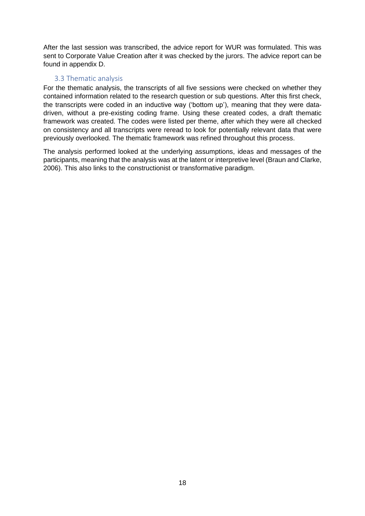After the last session was transcribed, the advice report for WUR was formulated. This was sent to Corporate Value Creation after it was checked by the jurors. The advice report can be found in appendix D.

#### 3.3 Thematic analysis

<span id="page-17-0"></span>For the thematic analysis, the transcripts of all five sessions were checked on whether they contained information related to the research question or sub questions. After this first check, the transcripts were coded in an inductive way ('bottom up'), meaning that they were datadriven, without a pre-existing coding frame. Using these created codes, a draft thematic framework was created. The codes were listed per theme, after which they were all checked on consistency and all transcripts were reread to look for potentially relevant data that were previously overlooked. The thematic framework was refined throughout this process.

The analysis performed looked at the underlying assumptions, ideas and messages of the participants, meaning that the analysis was at the latent or interpretive level (Braun and Clarke, 2006). This also links to the constructionist or transformative paradigm.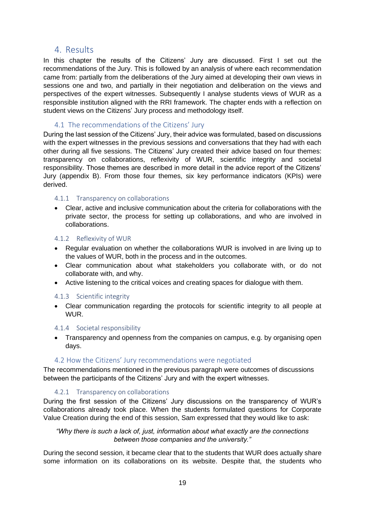#### <span id="page-18-0"></span>4. Results

In this chapter the results of the Citizens' Jury are discussed. First I set out the recommendations of the Jury. This is followed by an analysis of where each recommendation came from: partially from the deliberations of the Jury aimed at developing their own views in sessions one and two, and partially in their negotiation and deliberation on the views and perspectives of the expert witnesses. Subsequently I analyse students views of WUR as a responsible institution aligned with the RRI framework. The chapter ends with a reflection on student views on the Citizens' Jury process and methodology itself.

#### <span id="page-18-1"></span>4.1 The recommendations of the Citizens' Jury

During the last session of the Citizens' Jury, their advice was formulated, based on discussions with the expert witnesses in the previous sessions and conversations that they had with each other during all five sessions. The Citizens' Jury created their advice based on four themes: transparency on collaborations, reflexivity of WUR, scientific integrity and societal responsibility. Those themes are described in more detail in the advice report of the Citizens' Jury (appendix B). From those four themes, six key performance indicators (KPIs) were derived.

#### <span id="page-18-2"></span>4.1.1 Transparency on collaborations

• Clear, active and inclusive communication about the criteria for collaborations with the private sector, the process for setting up collaborations, and who are involved in collaborations.

#### <span id="page-18-3"></span>4.1.2 Reflexivity of WUR

- Regular evaluation on whether the collaborations WUR is involved in are living up to the values of WUR, both in the process and in the outcomes.
- Clear communication about what stakeholders you collaborate with, or do not collaborate with, and why.
- Active listening to the critical voices and creating spaces for dialogue with them.

#### <span id="page-18-4"></span>4.1.3 Scientific integrity

• Clear communication regarding the protocols for scientific integrity to all people at WUR.

#### <span id="page-18-5"></span>4.1.4 Societal responsibility

• Transparency and openness from the companies on campus, e.g. by organising open days.

#### 4.2 How the Citizens' Jury recommendations were negotiated

<span id="page-18-6"></span>The recommendations mentioned in the previous paragraph were outcomes of discussions between the participants of the Citizens' Jury and with the expert witnesses.

#### 4.2.1 Transparency on collaborations

<span id="page-18-7"></span>During the first session of the Citizens' Jury discussions on the transparency of WUR's collaborations already took place. When the students formulated questions for Corporate Value Creation during the end of this session, Sam expressed that they would like to ask:

#### *"Why there is such a lack of, just, information about what exactly are the connections between those companies and the university."*

During the second session, it became clear that to the students that WUR does actually share some information on its collaborations on its website. Despite that, the students who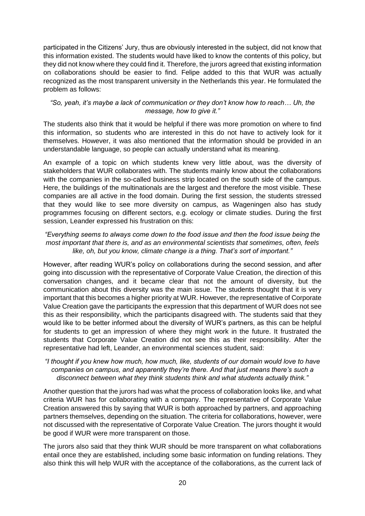participated in the Citizens' Jury, thus are obviously interested in the subject, did not know that this information existed. The students would have liked to know the contents of this policy, but they did not know where they could find it. Therefore, the jurors agreed that existing information on collaborations should be easier to find. Felipe added to this that WUR was actually recognized as the most transparent university in the Netherlands this year. He formulated the problem as follows:

#### *"So, yeah, it's maybe a lack of communication or they don't know how to reach… Uh, the message, how to give it."*

The students also think that it would be helpful if there was more promotion on where to find this information, so students who are interested in this do not have to actively look for it themselves. However, it was also mentioned that the information should be provided in an understandable language, so people can actually understand what its meaning.

An example of a topic on which students knew very little about, was the diversity of stakeholders that WUR collaborates with. The students mainly know about the collaborations with the companies in the so-called business strip located on the south side of the campus. Here, the buildings of the multinationals are the largest and therefore the most visible. These companies are all active in the food domain. During the first session, the students stressed that they would like to see more diversity on campus, as Wageningen also has study programmes focusing on different sectors, e.g. ecology or climate studies. During the first session, Leander expressed his frustration on this:

#### *"Everything seems to always come down to the food issue and then the food issue being the most important that there is, and as an environmental scientists that sometimes, often, feels like, oh, but you know, climate change is a thing. That's sort of important."*

However, after reading WUR's policy on collaborations during the second session, and after going into discussion with the representative of Corporate Value Creation, the direction of this conversation changes, and it became clear that not the amount of diversity, but the communication about this diversity was the main issue. The students thought that it is very important that this becomes a higher priority at WUR. However, the representative of Corporate Value Creation gave the participants the expression that this department of WUR does not see this as their responsibility, which the participants disagreed with. The students said that they would like to be better informed about the diversity of WUR's partners, as this can be helpful for students to get an impression of where they might work in the future. It frustrated the students that Corporate Value Creation did not see this as their responsibility. After the representative had left, Leander, an environmental sciences student, said:

#### *"I thought if you knew how much, how much, like, students of our domain would love to have companies on campus, and apparently they're there. And that just means there's such a disconnect between what they think students think and what students actually think."*

Another question that the jurors had was what the process of collaboration looks like, and what criteria WUR has for collaborating with a company. The representative of Corporate Value Creation answered this by saying that WUR is both approached by partners, and approaching partners themselves, depending on the situation. The criteria for collaborations, however, were not discussed with the representative of Corporate Value Creation. The jurors thought it would be good if WUR were more transparent on those.

The jurors also said that they think WUR should be more transparent on what collaborations entail once they are established, including some basic information on funding relations. They also think this will help WUR with the acceptance of the collaborations, as the current lack of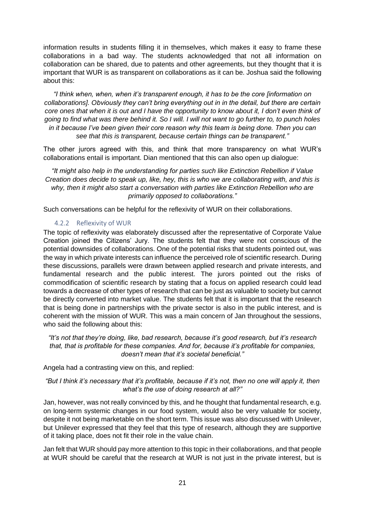information results in students filling it in themselves, which makes it easy to frame these collaborations in a bad way. The students acknowledged that not all information on collaboration can be shared, due to patents and other agreements, but they thought that it is important that WUR is as transparent on collaborations as it can be. Joshua said the following about this:

*"I think when, when, when it's transparent enough, it has to be the core [information on collaborations]. Obviously they can't bring everything out in in the detail, but there are certain core ones that when it is out and I have the opportunity to know about it, I don't even think of going to find what was there behind it. So I will. I will not want to go further to, to punch holes in it because I've been given their core reason why this team is being done. Then you can see that this is transparent, because certain things can be transparent."*

The other jurors agreed with this, and think that more transparency on what WUR's collaborations entail is important. Dian mentioned that this can also open up dialogue:

*"It might also help in the understanding for parties such like Extinction Rebellion if Value Creation does decide to speak up, like, hey, this is who we are collaborating with, and this is why, then it might also start a conversation with parties like Extinction Rebellion who are primarily opposed to collaborations."*

Such conversations can be helpful for the reflexivity of WUR on their collaborations.

#### 4.2.2 Reflexivity of WUR

<span id="page-20-0"></span>The topic of reflexivity was elaborately discussed after the representative of Corporate Value Creation joined the Citizens' Jury. The students felt that they were not conscious of the potential downsides of collaborations. One of the potential risks that students pointed out, was the way in which private interests can influence the perceived role of scientific research. During these discussions, parallels were drawn between applied research and private interests, and fundamental research and the public interest. The jurors pointed out the risks of commodification of scientific research by stating that a focus on applied research could lead towards a decrease of other types of research that can be just as valuable to society but cannot be directly converted into market value. The students felt that it is important that the research that is being done in partnerships with the private sector is also in the public interest, and is coherent with the mission of WUR. This was a main concern of Jan throughout the sessions, who said the following about this:

*"It's not that they're doing, like, bad research, because it's good research, but it's research that, that is profitable for these companies. And for, because it's profitable for companies, doesn't mean that it's societal beneficial."*

Angela had a contrasting view on this, and replied:

#### *"But I think it's necessary that it's profitable, because if it's not, then no one will apply it, then what's the use of doing research at all?"*

Jan, however, was not really convinced by this, and he thought that fundamental research, e.g. on long-term systemic changes in our food system, would also be very valuable for society, despite it not being marketable on the short term. This issue was also discussed with Unilever, but Unilever expressed that they feel that this type of research, although they are supportive of it taking place, does not fit their role in the value chain.

Jan felt that WUR should pay more attention to this topic in their collaborations, and that people at WUR should be careful that the research at WUR is not just in the private interest, but is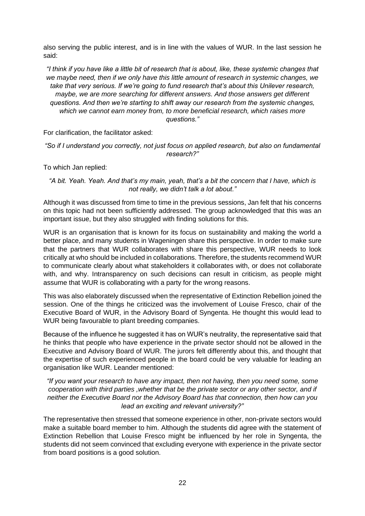also serving the public interest, and is in line with the values of WUR. In the last session he said:

*"I think if you have like a little bit of research that is about, like, these systemic changes that we maybe need, then if we only have this little amount of research in systemic changes, we take that very serious. If we're going to fund research that's about this Unilever research, maybe, we are more searching for different answers. And those answers get different questions. And then we're starting to shift away our research from the systemic changes, which we cannot earn money from, to more beneficial research, which raises more questions."*

For clarification, the facilitator asked:

*"So if I understand you correctly, not just focus on applied research, but also on fundamental research?"*

To which Jan replied:

*"A bit. Yeah. Yeah. And that's my main, yeah, that's a bit the concern that I have, which is not really, we didn't talk a lot about."*

Although it was discussed from time to time in the previous sessions, Jan felt that his concerns on this topic had not been sufficiently addressed. The group acknowledged that this was an important issue, but they also struggled with finding solutions for this.

WUR is an organisation that is known for its focus on sustainability and making the world a better place, and many students in Wageningen share this perspective. In order to make sure that the partners that WUR collaborates with share this perspective, WUR needs to look critically at who should be included in collaborations. Therefore, the students recommend WUR to communicate clearly about what stakeholders it collaborates with, or does not collaborate with, and why. Intransparency on such decisions can result in criticism, as people might assume that WUR is collaborating with a party for the wrong reasons.

This was also elaborately discussed when the representative of Extinction Rebellion joined the session. One of the things he criticized was the involvement of Louise Fresco, chair of the Executive Board of WUR, in the Advisory Board of Syngenta. He thought this would lead to WUR being favourable to plant breeding companies.

Because of the influence he suggested it has on WUR's neutrality, the representative said that he thinks that people who have experience in the private sector should not be allowed in the Executive and Advisory Board of WUR. The jurors felt differently about this, and thought that the expertise of such experienced people in the board could be very valuable for leading an organisation like WUR. Leander mentioned:

*"If you want your research to have any impact, then not having, then you need some, some cooperation with third parties ,whether that be the private sector or any other sector, and if neither the Executive Board nor the Advisory Board has that connection, then how can you lead an exciting and relevant university?"*

The representative then stressed that someone experience in other, non-private sectors would make a suitable board member to him. Although the students did agree with the statement of Extinction Rebellion that Louise Fresco might be influenced by her role in Syngenta, the students did not seem convinced that excluding everyone with experience in the private sector from board positions is a good solution.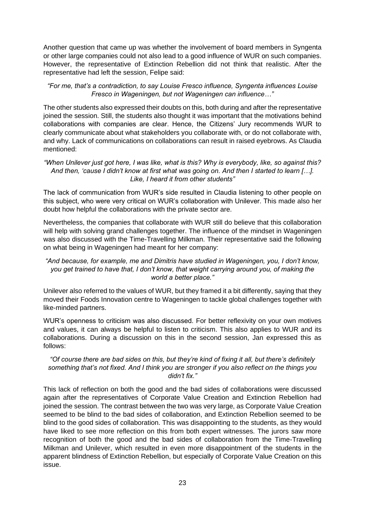Another question that came up was whether the involvement of board members in Syngenta or other large companies could not also lead to a good influence of WUR on such companies. However, the representative of Extinction Rebellion did not think that realistic. After the representative had left the session, Felipe said:

#### *"For me, that's a contradiction, to say Louise Fresco influence, Syngenta influences Louise Fresco in Wageningen, but not Wageningen can influence…"*

The other students also expressed their doubts on this, both during and after the representative joined the session. Still, the students also thought it was important that the motivations behind collaborations with companies are clear. Hence, the Citizens' Jury recommends WUR to clearly communicate about what stakeholders you collaborate with, or do not collaborate with, and why. Lack of communications on collaborations can result in raised eyebrows. As Claudia mentioned:

#### *"When Unilever just got here, I was like, what is this? Why is everybody, like, so against this? And then, 'cause I didn't know at first what was going on. And then I started to learn […]. Like, I heard it from other students"*

The lack of communication from WUR's side resulted in Claudia listening to other people on this subject, who were very critical on WUR's collaboration with Unilever. This made also her doubt how helpful the collaborations with the private sector are.

Nevertheless, the companies that collaborate with WUR still do believe that this collaboration will help with solving grand challenges together. The influence of the mindset in Wageningen was also discussed with the Time-Travelling Milkman. Their representative said the following on what being in Wageningen had meant for her company:

#### *"And because, for example, me and Dimitris have studied in Wageningen, you, I don't know, you get trained to have that, I don't know, that weight carrying around you, of making the world a better place."*

Unilever also referred to the values of WUR, but they framed it a bit differently, saying that they moved their Foods Innovation centre to Wageningen to tackle global challenges together with like-minded partners.

WUR's openness to criticism was also discussed. For better reflexivity on your own motives and values, it can always be helpful to listen to criticism. This also applies to WUR and its collaborations. During a discussion on this in the second session, Jan expressed this as follows:

#### *"Of course there are bad sides on this, but they're kind of fixing it all, but there's definitely something that's not fixed. And I think you are stronger if you also reflect on the things you didn't fix."*

This lack of reflection on both the good and the bad sides of collaborations were discussed again after the representatives of Corporate Value Creation and Extinction Rebellion had joined the session. The contrast between the two was very large, as Corporate Value Creation seemed to be blind to the bad sides of collaboration, and Extinction Rebellion seemed to be blind to the good sides of collaboration. This was disappointing to the students, as they would have liked to see more reflection on this from both expert witnesses. The jurors saw more recognition of both the good and the bad sides of collaboration from the Time-Travelling Milkman and Unilever, which resulted in even more disappointment of the students in the apparent blindness of Extinction Rebellion, but especially of Corporate Value Creation on this issue.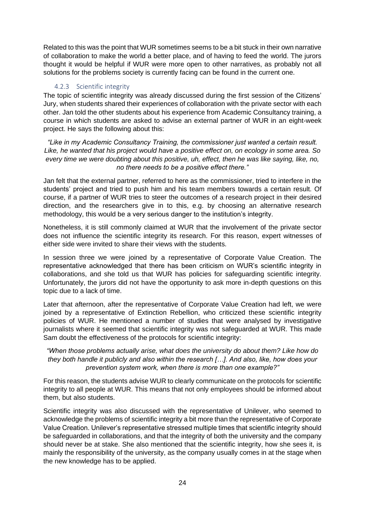Related to this was the point that WUR sometimes seems to be a bit stuck in their own narrative of collaboration to make the world a better place, and of having to feed the world. The jurors thought it would be helpful if WUR were more open to other narratives, as probably not all solutions for the problems society is currently facing can be found in the current one.

#### 4.2.3 Scientific integrity

<span id="page-23-0"></span>The topic of scientific integrity was already discussed during the first session of the Citizens' Jury, when students shared their experiences of collaboration with the private sector with each other. Jan told the other students about his experience from Academic Consultancy training, a course in which students are asked to advise an external partner of WUR in an eight-week project. He says the following about this:

*"Like in my Academic Consultancy Training, the commissioner just wanted a certain result. Like, he wanted that his project would have a positive effect on, on ecology in some area. So every time we were doubting about this positive, uh, effect, then he was like saying, like, no, no there needs to be a positive effect there."*

Jan felt that the external partner, referred to here as the commissioner, tried to interfere in the students' project and tried to push him and his team members towards a certain result. Of course, if a partner of WUR tries to steer the outcomes of a research project in their desired direction, and the researchers give in to this, e.g. by choosing an alternative research methodology, this would be a very serious danger to the institution's integrity.

Nonetheless, it is still commonly claimed at WUR that the involvement of the private sector does not influence the scientific integrity its research. For this reason, expert witnesses of either side were invited to share their views with the students.

In session three we were joined by a representative of Corporate Value Creation. The representative acknowledged that there has been criticism on WUR's scientific integrity in collaborations, and she told us that WUR has policies for safeguarding scientific integrity. Unfortunately, the jurors did not have the opportunity to ask more in-depth questions on this topic due to a lack of time.

Later that afternoon, after the representative of Corporate Value Creation had left, we were joined by a representative of Extinction Rebellion, who criticized these scientific integrity policies of WUR. He mentioned a number of studies that were analysed by investigative journalists where it seemed that scientific integrity was not safeguarded at WUR. This made Sam doubt the effectiveness of the protocols for scientific integrity:

*"When those problems actually arise, what does the university do about them? Like how do they both handle it publicly and also within the research […]. And also, like, how does your prevention system work, when there is more than one example?"*

For this reason, the students advise WUR to clearly communicate on the protocols for scientific integrity to all people at WUR. This means that not only employees should be informed about them, but also students.

Scientific integrity was also discussed with the representative of Unilever, who seemed to acknowledge the problems of scientific integrity a bit more than the representative of Corporate Value Creation. Unilever's representative stressed multiple times that scientific integrity should be safeguarded in collaborations, and that the integrity of both the university and the company should never be at stake. She also mentioned that the scientific integrity, how she sees it, is mainly the responsibility of the university, as the company usually comes in at the stage when the new knowledge has to be applied.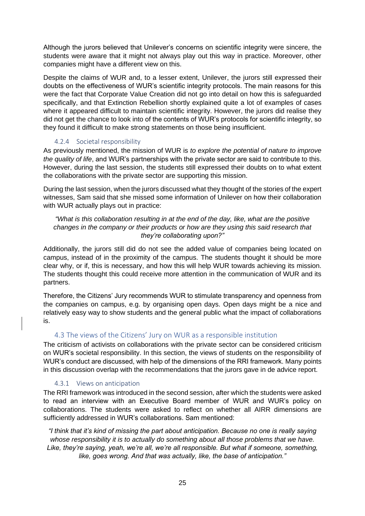Although the jurors believed that Unilever's concerns on scientific integrity were sincere, the students were aware that it might not always play out this way in practice. Moreover, other companies might have a different view on this.

Despite the claims of WUR and, to a lesser extent, Unilever, the jurors still expressed their doubts on the effectiveness of WUR's scientific integrity protocols. The main reasons for this were the fact that Corporate Value Creation did not go into detail on how this is safeguarded specifically, and that Extinction Rebellion shortly explained quite a lot of examples of cases where it appeared difficult to maintain scientific integrity. However, the jurors did realise they did not get the chance to look into of the contents of WUR's protocols for scientific integrity, so they found it difficult to make strong statements on those being insufficient.

#### 4.2.4 Societal responsibility

<span id="page-24-0"></span>As previously mentioned, the mission of WUR is *to explore the potential of nature to improve the quality of life*, and WUR's partnerships with the private sector are said to contribute to this. However, during the last session, the students still expressed their doubts on to what extent the collaborations with the private sector are supporting this mission.

During the last session, when the jurors discussed what they thought of the stories of the expert witnesses, Sam said that she missed some information of Unilever on how their collaboration with WUR actually plays out in practice:

*"What is this collaboration resulting in at the end of the day, like, what are the positive changes in the company or their products or how are they using this said research that they're collaborating upon?"*

Additionally, the jurors still did do not see the added value of companies being located on campus, instead of in the proximity of the campus. The students thought it should be more clear why, or if, this is necessary, and how this will help WUR towards achieving its mission. The students thought this could receive more attention in the communication of WUR and its partners.

Therefore, the Citizens' Jury recommends WUR to stimulate transparency and openness from the companies on campus, e.g. by organising open days. Open days might be a nice and relatively easy way to show students and the general public what the impact of collaborations is.

#### 4.3 The views of the Citizens' Jury on WUR as a responsible institution

<span id="page-24-1"></span>The criticism of activists on collaborations with the private sector can be considered criticism on WUR's societal responsibility. In this section, the views of students on the responsibility of WUR's conduct are discussed, with help of the dimensions of the RRI framework. Many points in this discussion overlap with the recommendations that the jurors gave in de advice report.

#### 4.3.1 Views on anticipation

<span id="page-24-2"></span>The RRI framework was introduced in the second session, after which the students were asked to read an interview with an Executive Board member of WUR and WUR's policy on collaborations. The students were asked to reflect on whether all AIRR dimensions are sufficiently addressed in WUR's collaborations. Sam mentioned:

*"I think that it's kind of missing the part about anticipation. Because no one is really saying whose responsibility it is to actually do something about all those problems that we have. Like, they're saying, yeah, we're all, we're all responsible. But what if someone, something, like, goes wrong. And that was actually, like, the base of anticipation."*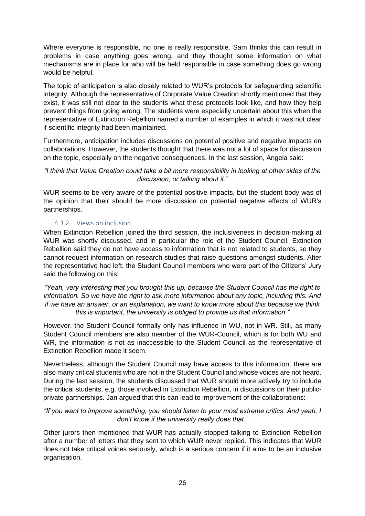Where everyone is responsible, no one is really responsible. Sam thinks this can result in problems in case anything goes wrong, and they thought some information on what mechanisms are in place for who will be held responsible in case something does go wrong would be helpful.

The topic of anticipation is also closely related to WUR's protocols for safeguarding scientific integrity. Although the representative of Corporate Value Creation shortly mentioned that they exist, it was still not clear to the students what these protocols look like, and how they help prevent things from going wrong. The students were especially uncertain about this when the representative of Extinction Rebellion named a number of examples in which it was not clear if scientific integrity had been maintained.

Furthermore, anticipation includes discussions on potential positive and negative impacts on collaborations. However, the students thought that there was not a lot of space for discussion on the topic, especially on the negative consequences. In the last session, Angela said:

#### *"I think that Value Creation could take a bit more responsibility in looking at other sides of the discussion, or talking about it."*

WUR seems to be very aware of the potential positive impacts, but the student body was of the opinion that their should be more discussion on potential negative effects of WUR's partnerships.

#### 4.3.2 Views on inclusion

<span id="page-25-0"></span>When Extinction Rebellion joined the third session, the inclusiveness in decision-making at WUR was shortly discussed, and in particular the role of the Student Council. Extinction Rebellion said they do not have access to information that is not related to students, so they cannot request information on research studies that raise questions amongst students. After the representative had left, the Student Council members who were part of the Citizens' Jury said the following on this:

*"Yeah, very interesting that you brought this up, because the Student Council has the right to information. So we have the right to ask more information about any topic, including this. And if we have an answer, or an explanation, we want to know more about this because we think this is important, the university is obliged to provide us that information."*

However, the Student Council formally only has influence in WU, not in WR. Still, as many Student Council members are also member of the WUR-Council, which is for both WU and WR, the information is not as inaccessible to the Student Council as the representative of Extinction Rebellion made it seem.

Nevertheless, although the Student Council may have access to this information, there are also many critical students who are not in the Student Council and whose voices are not heard. During the last session, the students discussed that WUR should more actively try to include the critical students, e.g. those involved in Extinction Rebellion, in discussions on their publicprivate partnerships. Jan argued that this can lead to improvement of the collaborations:

#### *"If you want to improve something, you should listen to your most extreme critics. And yeah, I don't know if the university really does that."*

Other jurors then mentioned that WUR has actually stopped talking to Extinction Rebellion after a number of letters that they sent to which WUR never replied. This indicates that WUR does not take critical voices seriously, which is a serious concern if it aims to be an inclusive organisation.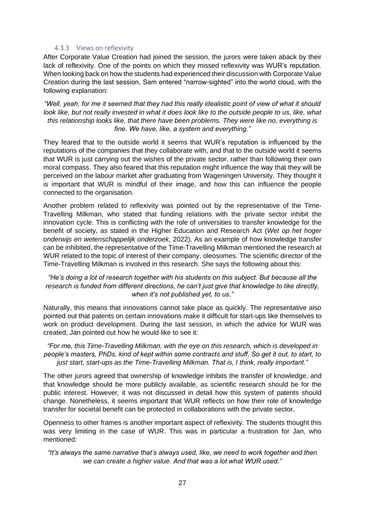#### 4.3.3 Views on reflexivity

<span id="page-26-0"></span>After Corporate Value Creation had joined the session, the jurors were taken aback by their lack of reflexivity. One of the points on which they missed reflexivity was WUR's reputation. When looking back on how the students had experienced their discussion with Corporate Value Creation during the last session, Sam entered "narrow-sighted" into the world cloud, with the following explanation:

*"Well, yeah, for me it seemed that they had this really idealistic point of view of what it should look like, but not really invested in what it does look like to the outside people to us, like, what this relationship looks like, that there have been problems. They were like no, everything is fine. We have, like, a system and everything."*

They feared that to the outside world it seems that WUR's reputation is influenced by the reputations of the companies that they collaborate with, and that to the outside world it seems that WUR is just carrying out the wishes of the private sector, rather than following their own moral compass. They also feared that this reputation might influence the way that they will be perceived on the labour market after graduating from Wageningen University. They thought it is important that WUR is mindful of their image, and how this can influence the people connected to the organisation.

Another problem related to reflexivity was pointed out by the representative of the Time-Travelling Milkman, who stated that funding relations with the private sector inhibit the innovation cycle. This is conflicting with the role of universities to transfer knowledge for the benefit of society, as stated in the Higher Education and Research Act (*Wet op het hoger onderwijs en wetenschappelijk onderzoek*, 2022). As an example of how knowledge transfer can be inhibited, the representative of the Time-Travelling Milkman mentioned the research at WUR related to the topic of interest of their company, oleosomes. The scientific director of the Time-Travelling Milkman is involved in this research. She says the following about this:

#### *"He's doing a lot of research together with his students on this subject. But because all the research is funded from different directions, he can't just give that knowledge to like directly, when it's not published yet, to us."*

Naturally, this means that innovations cannot take place as quickly. The representative also pointed out that patents on certain innovations make it difficult for start-ups like themselves to work on product development. During the last session, in which the advice for WUR was created, Jan pointed out how he would like to see it:

*"For me, this Time-Travelling Milkman, with the eye on this research, which is developed in people's masters, PhDs, kind of kept within some contracts and stuff. So get it out, to start, to just start, start-ups as the Time-Travelling Milkman. That is, I think, really important."*

The other jurors agreed that ownership of knowledge inhibits the transfer of knowledge, and that knowledge should be more publicly available, as scientific research should be for the public interest. However, it was not discussed in detail how this system of patents should change. Nonetheless, it seems important that WUR reflects on how their role of knowledge transfer for societal benefit can be protected in collaborations with the private sector.

Openness to other frames is another important aspect of reflexivity. The students thought this was very limiting in the case of WUR. This was in particular a frustration for Jan, who mentioned:

*"It's always the same narrative that's always used, like, we need to work together and then we can create a higher value. And that was a lot what WUR used."*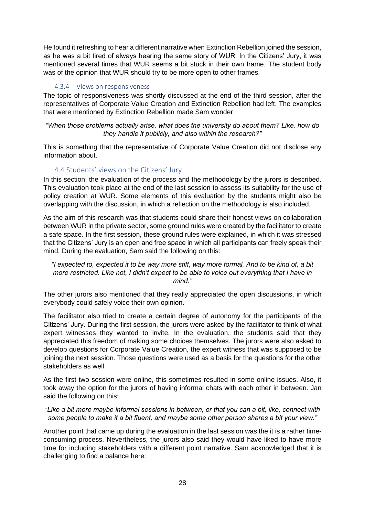He found it refreshing to hear a different narrative when Extinction Rebellion joined the session, as he was a bit tired of always hearing the same story of WUR. In the Citizens' Jury, it was mentioned several times that WUR seems a bit stuck in their own frame. The student body was of the opinion that WUR should try to be more open to other frames.

#### 4.3.4 Views on responsiveness

<span id="page-27-0"></span>The topic of responsiveness was shortly discussed at the end of the third session, after the representatives of Corporate Value Creation and Extinction Rebellion had left. The examples that were mentioned by Extinction Rebellion made Sam wonder:

#### *"When those problems actually arise, what does the university do about them? Like, how do they handle it publicly, and also within the research?"*

This is something that the representative of Corporate Value Creation did not disclose any information about.

#### 4.4 Students' views on the Citizens' Jury

<span id="page-27-1"></span>In this section, the evaluation of the process and the methodology by the jurors is described. This evaluation took place at the end of the last session to assess its suitability for the use of policy creation at WUR. Some elements of this evaluation by the students might also be overlapping with the discussion, in which a reflection on the methodology is also included.

As the aim of this research was that students could share their honest views on collaboration between WUR in the private sector, some ground rules were created by the facilitator to create a safe space. In the first session, these ground rules were explained, in which it was stressed that the Citizens' Jury is an open and free space in which all participants can freely speak their mind. During the evaluation, Sam said the following on this:

*"I expected to, expected it to be way more stiff, way more formal. And to be kind of, a bit more restricted. Like not, I didn't expect to be able to voice out everything that I have in mind."*

The other jurors also mentioned that they really appreciated the open discussions, in which everybody could safely voice their own opinion.

The facilitator also tried to create a certain degree of autonomy for the participants of the Citizens' Jury. During the first session, the jurors were asked by the facilitator to think of what expert witnesses they wanted to invite. In the evaluation, the students said that they appreciated this freedom of making some choices themselves. The jurors were also asked to develop questions for Corporate Value Creation, the expert witness that was supposed to be joining the next session. Those questions were used as a basis for the questions for the other stakeholders as well.

As the first two session were online, this sometimes resulted in some online issues. Also, it took away the option for the jurors of having informal chats with each other in between. Jan said the following on this:

#### *"Like a bit more maybe informal sessions in between, or that you can a bit, like, connect with some people to make it a bit fluent, and maybe some other person shares a bit your view."*

Another point that came up during the evaluation in the last session was the it is a rather timeconsuming process. Nevertheless, the jurors also said they would have liked to have more time for including stakeholders with a different point narrative. Sam acknowledged that it is challenging to find a balance here: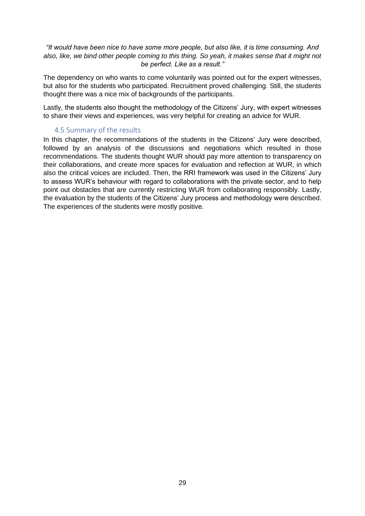#### *"It would have been nice to have some more people, but also like, it is time consuming. And also, like, we bind other people coming to this thing. So yeah, it makes sense that it might not be perfect. Like as a result."*

The dependency on who wants to come voluntarily was pointed out for the expert witnesses, but also for the students who participated. Recruitment proved challenging. Still, the students thought there was a nice mix of backgrounds of the participants.

Lastly, the students also thought the methodology of the Citizens' Jury, with expert witnesses to share their views and experiences, was very helpful for creating an advice for WUR.

#### 4.5 Summary of the results

<span id="page-28-0"></span>In this chapter, the recommendations of the students in the Citizens' Jury were described, followed by an analysis of the discussions and negotiations which resulted in those recommendations. The students thought WUR should pay more attention to transparency on their collaborations, and create more spaces for evaluation and reflection at WUR, in which also the critical voices are included. Then, the RRI framework was used in the Citizens' Jury to assess WUR's behaviour with regard to collaborations with the private sector, and to help point out obstacles that are currently restricting WUR from collaborating responsibly. Lastly, the evaluation by the students of the Citizens' Jury process and methodology were described. The experiences of the students were mostly positive.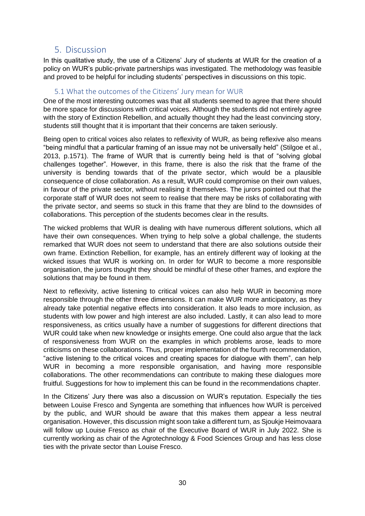#### <span id="page-29-0"></span>5. Discussion

In this qualitative study, the use of a Citizens' Jury of students at WUR for the creation of a policy on WUR's public-private partnerships was investigated. The methodology was feasible and proved to be helpful for including students' perspectives in discussions on this topic.

#### 5.1 What the outcomes of the Citizens' Jury mean for WUR

<span id="page-29-1"></span>One of the most interesting outcomes was that all students seemed to agree that there should be more space for discussions with critical voices. Although the students did not entirely agree with the story of Extinction Rebellion, and actually thought they had the least convincing story, students still thought that it is important that their concerns are taken seriously.

Being open to critical voices also relates to reflexivity of WUR, as being reflexive also means "being mindful that a particular framing of an issue may not be universally held" (Stilgoe et al., 2013, p.1571). The frame of WUR that is currently being held is that of "solving global challenges together". However, in this frame, there is also the risk that the frame of the university is bending towards that of the private sector, which would be a plausible consequence of close collaboration. As a result, WUR could compromise on their own values, in favour of the private sector, without realising it themselves. The jurors pointed out that the corporate staff of WUR does not seem to realise that there may be risks of collaborating with the private sector, and seems so stuck in this frame that they are blind to the downsides of collaborations. This perception of the students becomes clear in the results.

The wicked problems that WUR is dealing with have numerous different solutions, which all have their own consequences. When trying to help solve a global challenge, the students remarked that WUR does not seem to understand that there are also solutions outside their own frame. Extinction Rebellion, for example, has an entirely different way of looking at the wicked issues that WUR is working on. In order for WUR to become a more responsible organisation, the jurors thought they should be mindful of these other frames, and explore the solutions that may be found in them.

Next to reflexivity, active listening to critical voices can also help WUR in becoming more responsible through the other three dimensions. It can make WUR more anticipatory, as they already take potential negative effects into consideration. It also leads to more inclusion, as students with low power and high interest are also included. Lastly, it can also lead to more responsiveness, as critics usually have a number of suggestions for different directions that WUR could take when new knowledge or insights emerge. One could also argue that the lack of responsiveness from WUR on the examples in which problems arose, leads to more criticisms on these collaborations. Thus, proper implementation of the fourth recommendation, "active listening to the critical voices and creating spaces for dialogue with them", can help WUR in becoming a more responsible organisation, and having more responsible collaborations. The other recommendations can contribute to making these dialogues more fruitful. Suggestions for how to implement this can be found in the recommendations chapter.

In the Citizens' Jury there was also a discussion on WUR's reputation. Especially the ties between Louise Fresco and Syngenta are something that influences how WUR is perceived by the public, and WUR should be aware that this makes them appear a less neutral organisation. However, this discussion might soon take a different turn, as Sjoukje Heimovaara will follow up Louise Fresco as chair of the Executive Board of WUR in July 2022. She is currently working as chair of the Agrotechnology & Food Sciences Group and has less close ties with the private sector than Louise Fresco.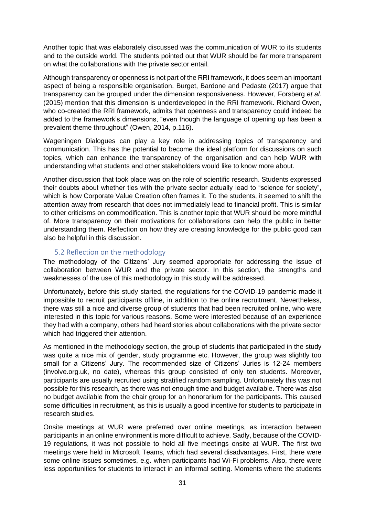Another topic that was elaborately discussed was the communication of WUR to its students and to the outside world. The students pointed out that WUR should be far more transparent on what the collaborations with the private sector entail.

Although transparency or openness is not part of the RRI framework, it does seem an important aspect of being a responsible organisation. Burget, Bardone and Pedaste (2017) argue that transparency can be grouped under the dimension responsiveness. However, Forsberg *et al.* (2015) mention that this dimension is underdeveloped in the RRI framework. Richard Owen, who co-created the RRI framework, admits that openness and transparency could indeed be added to the framework's dimensions, "even though the language of opening up has been a prevalent theme throughout" (Owen, 2014, p.116).

Wageningen Dialogues can play a key role in addressing topics of transparency and communication. This has the potential to become the ideal platform for discussions on such topics, which can enhance the transparency of the organisation and can help WUR with understanding what students and other stakeholders would like to know more about.

Another discussion that took place was on the role of scientific research. Students expressed their doubts about whether ties with the private sector actually lead to "science for society", which is how Corporate Value Creation often frames it. To the students, it seemed to shift the attention away from research that does not immediately lead to financial profit. This is similar to other criticisms on commodification. This is another topic that WUR should be more mindful of. More transparency on their motivations for collaborations can help the public in better understanding them. Reflection on how they are creating knowledge for the public good can also be helpful in this discussion.

#### 5.2 Reflection on the methodology

<span id="page-30-0"></span>The methodology of the Citizens' Jury seemed appropriate for addressing the issue of collaboration between WUR and the private sector. In this section, the strengths and weaknesses of the use of this methodology in this study will be addressed.

Unfortunately, before this study started, the regulations for the COVID-19 pandemic made it impossible to recruit participants offline, in addition to the online recruitment. Nevertheless, there was still a nice and diverse group of students that had been recruited online, who were interested in this topic for various reasons. Some were interested because of an experience they had with a company, others had heard stories about collaborations with the private sector which had triggered their attention.

As mentioned in the methodology section, the group of students that participated in the study was quite a nice mix of gender, study programme etc. However, the group was slightly too small for a Citizens' Jury. The recommended size of Citizens' Juries is 12-24 members (involve.org.uk, no date), whereas this group consisted of only ten students. Moreover, participants are usually recruited using stratified random sampling. Unfortunately this was not possible for this research, as there was not enough time and budget available. There was also no budget available from the chair group for an honorarium for the participants. This caused some difficulties in recruitment, as this is usually a good incentive for students to participate in research studies.

Onsite meetings at WUR were preferred over online meetings, as interaction between participants in an online environment is more difficult to achieve. Sadly, because of the COVID-19 regulations, it was not possible to hold all five meetings onsite at WUR. The first two meetings were held in Microsoft Teams, which had several disadvantages. First, there were some online issues sometimes, e.g. when participants had Wi-Fi problems. Also, there were less opportunities for students to interact in an informal setting. Moments where the students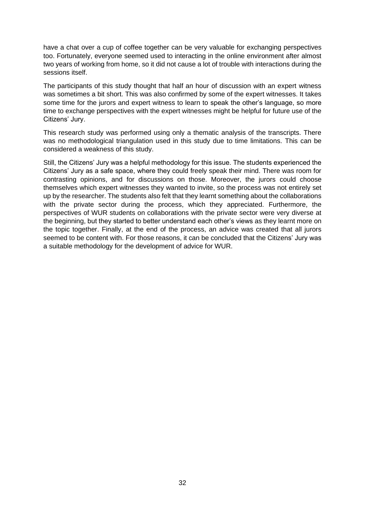have a chat over a cup of coffee together can be very valuable for exchanging perspectives too. Fortunately, everyone seemed used to interacting in the online environment after almost two years of working from home, so it did not cause a lot of trouble with interactions during the sessions itself.

The participants of this study thought that half an hour of discussion with an expert witness was sometimes a bit short. This was also confirmed by some of the expert witnesses. It takes some time for the jurors and expert witness to learn to speak the other's language, so more time to exchange perspectives with the expert witnesses might be helpful for future use of the Citizens' Jury.

This research study was performed using only a thematic analysis of the transcripts. There was no methodological triangulation used in this study due to time limitations. This can be considered a weakness of this study.

Still, the Citizens' Jury was a helpful methodology for this issue. The students experienced the Citizens' Jury as a safe space, where they could freely speak their mind. There was room for contrasting opinions, and for discussions on those. Moreover, the jurors could choose themselves which expert witnesses they wanted to invite, so the process was not entirely set up by the researcher. The students also felt that they learnt something about the collaborations with the private sector during the process, which they appreciated. Furthermore, the perspectives of WUR students on collaborations with the private sector were very diverse at the beginning, but they started to better understand each other's views as they learnt more on the topic together. Finally, at the end of the process, an advice was created that all jurors seemed to be content with. For those reasons, it can be concluded that the Citizens' Jury was a suitable methodology for the development of advice for WUR.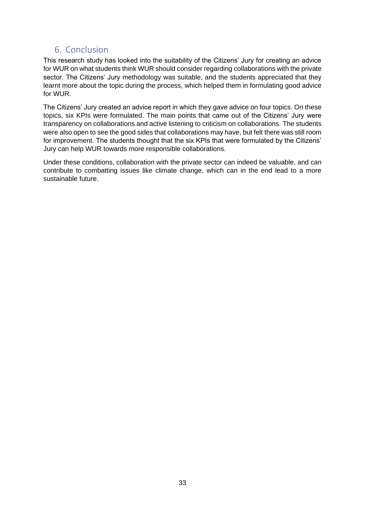#### <span id="page-32-0"></span>6. Conclusion

This research study has looked into the suitability of the Citizens' Jury for creating an advice for WUR on what students think WUR should consider regarding collaborations with the private sector. The Citizens' Jury methodology was suitable, and the students appreciated that they learnt more about the topic during the process, which helped them in formulating good advice for WUR.

The Citizens' Jury created an advice report in which they gave advice on four topics. On these topics, six KPIs were formulated. The main points that came out of the Citizens' Jury were transparency on collaborations and active listening to criticism on collaborations. The students were also open to see the good sides that collaborations may have, but felt there was still room for improvement. The students thought that the six KPIs that were formulated by the Citizens' Jury can help WUR towards more responsible collaborations.

Under these conditions, collaboration with the private sector can indeed be valuable, and can contribute to combatting issues like climate change, which can in the end lead to a more sustainable future.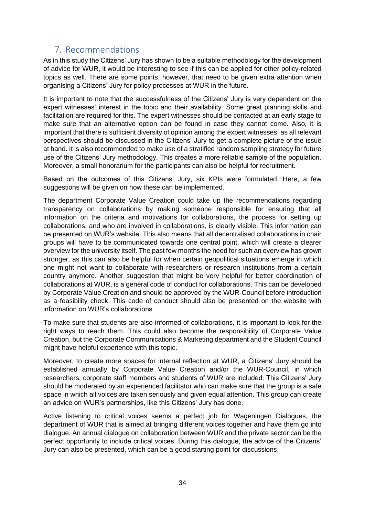#### <span id="page-33-0"></span>7. Recommendations

As in this study the Citizens' Jury has shown to be a suitable methodology for the development of advice for WUR, it would be interesting to see if this can be applied for other policy-related topics as well. There are some points, however, that need to be given extra attention when organising a Citizens' Jury for policy processes at WUR in the future.

It is important to note that the successfulness of the Citizens' Jury is very dependent on the expert witnesses' interest in the topic and their availability. Some great planning skills and facilitation are required for this. The expert witnesses should be contacted at an early stage to make sure that an alternative option can be found in case they cannot come. Also, it is important that there is sufficient diversity of opinion among the expert witnesses, as all relevant perspectives should be discussed in the Citizens' Jury to get a complete picture of the issue at hand. It is also recommended to make use of a stratified random sampling strategy for future use of the Citizens' Jury methodology. This creates a more reliable sample of the population. Moreover, a small honorarium for the participants can also be helpful for recruitment.

Based on the outcomes of this Citizens' Jury, six KPIs were formulated. Here, a few suggestions will be given on how these can be implemented.

The department Corporate Value Creation could take up the recommendations regarding transparency on collaborations by making someone responsible for ensuring that all information on the criteria and motivations for collaborations, the process for setting up collaborations, and who are involved in collaborations, is clearly visible. This information can be presented on WUR's website. This also means that all decentralised collaborations in chair groups will have to be communicated towards one central point, which will create a clearer overview for the university itself. The past few months the need for such an overview has grown stronger, as this can also be helpful for when certain geopolitical situations emerge in which one might not want to collaborate with researchers or research institutions from a certain country anymore. Another suggestion that might be very helpful for better coordination of collaborations at WUR, is a general code of conduct for collaborations. This can be developed by Corporate Value Creation and should be approved by the WUR-Council before introduction as a feasibility check. This code of conduct should also be presented on the website with information on WUR's collaborations.

To make sure that students are also informed of collaborations, it is important to look for the right ways to reach them. This could also become the responsibility of Corporate Value Creation, but the Corporate Communications & Marketing department and the Student Council might have helpful experience with this topic.

Moreover, to create more spaces for internal reflection at WUR, a Citizens' Jury should be established annually by Corporate Value Creation and/or the WUR-Council, in which researchers, corporate staff members and students of WUR are included. This Citizens' Jury should be moderated by an experienced facilitator who can make sure that the group is a safe space in which all voices are taken seriously and given equal attention. This group can create an advice on WUR's partnerships, like this Citizens' Jury has done.

Active listening to critical voices seems a perfect job for Wageningen Dialogues, the department of WUR that is aimed at bringing different voices together and have them go into dialogue. An annual dialogue on collaboration between WUR and the private sector can be the perfect opportunity to include critical voices. During this dialogue, the advice of the Citizens' Jury can also be presented, which can be a good starting point for discussions.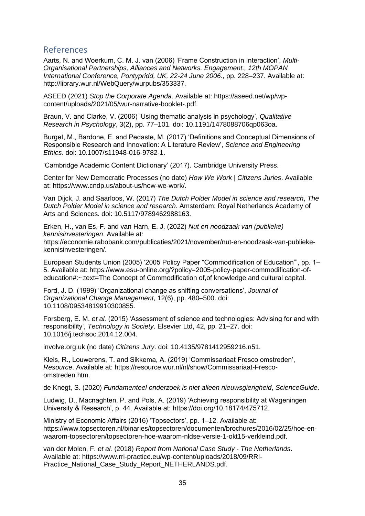#### <span id="page-34-0"></span>References

Aarts, N. and Woerkum, C. M. J. van (2006) 'Frame Construction in Interaction', *Multi-Organisational Partnerships, Alliances and Networks. Engagement., 12th MOPAN International Conference, Pontypridd, UK, 22-24 June 2006.*, pp. 228–237. Available at: http://library.wur.nl/WebQuery/wurpubs/353337.

ASEED (2021) *Stop the Corporate Agenda*. Available at: https://aseed.net/wp/wpcontent/uploads/2021/05/wur-narrative-booklet-.pdf.

Braun, V. and Clarke, V. (2006) 'Using thematic analysis in psychology', *Qualitative Research in Psychology*, 3(2), pp. 77–101. doi: 10.1191/1478088706qp063oa.

Burget, M., Bardone, E. and Pedaste, M. (2017) 'Definitions and Conceptual Dimensions of Responsible Research and Innovation: A Literature Review', *Science and Engineering Ethics*. doi: 10.1007/s11948-016-9782-1.

'Cambridge Academic Content Dictionary' (2017). Cambridge University Press.

Center for New Democratic Processes (no date) *How We Work | Citizens Juries*. Available at: https://www.cndp.us/about-us/how-we-work/.

Van Dijck, J. and Saarloos, W. (2017) *The Dutch Polder Model in science and research*, *The Dutch Polder Model in science and research*. Amsterdam: Royal Netherlands Academy of Arts and Sciences. doi: 10.5117/9789462988163.

Erken, H., van Es, F. and van Harn, E. J. (2022) *Nut en noodzaak van (publieke) kennisinvesteringen*. Available at: https://economie.rabobank.com/publicaties/2021/november/nut-en-noodzaak-van-publiekekennisinvesteringen/.

European Students Union (2005) '2005 Policy Paper "Commodification of Education"', pp. 1– 5. Available at: https://www.esu-online.org/?policy=2005-policy-paper-commodification-ofeducation#:~:text=The Concept of Commodification of,of knowledge and cultural capital.

Ford, J. D. (1999) 'Organizational change as shifting conversations', *Journal of Organizational Change Management*, 12(6), pp. 480–500. doi: 10.1108/09534819910300855.

Forsberg, E. M. *et al.* (2015) 'Assessment of science and technologies: Advising for and with responsibility', *Technology in Society*. Elsevier Ltd, 42, pp. 21–27. doi: 10.1016/j.techsoc.2014.12.004.

involve.org.uk (no date) *Citizens Jury*. doi: 10.4135/9781412959216.n51.

Kleis, R., Louwerens, T. and Sikkema, A. (2019) 'Commissariaat Fresco omstreden', *Resource*. Available at: https://resource.wur.nl/nl/show/Commissariaat-Frescoomstreden.htm.

de Knegt, S. (2020) *Fundamenteel onderzoek is niet alleen nieuwsgierigheid*, *ScienceGuide*.

Ludwig, D., Macnaghten, P. and Pols, A. (2019) 'Achieving responsibility at Wageningen University & Research', p. 44. Available at: https://doi.org/10.18174/475712.

Ministry of Economic Affairs (2016) 'Topsectors', pp. 1–12. Available at: https://www.topsectoren.nl/binaries/topsectoren/documenten/brochures/2016/02/25/hoe-enwaarom-topsectoren/topsectoren-hoe-waarom-nldse-versie-1-okt15-verkleind.pdf.

van der Molen, F. *et al.* (2018) *Report from National Case Study - The Netherlands*. Available at: https://www.rri-practice.eu/wp-content/uploads/2018/09/RRI-Practice\_National\_Case\_Study\_Report\_NETHERLANDS.pdf.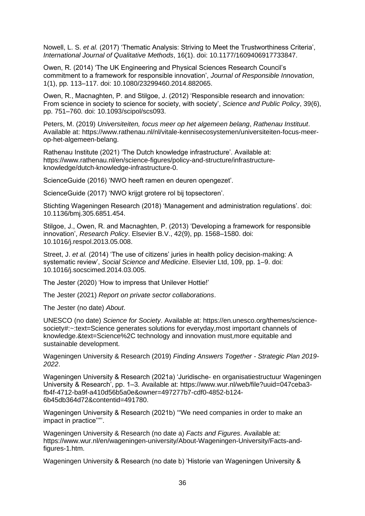Nowell, L. S. *et al.* (2017) 'Thematic Analysis: Striving to Meet the Trustworthiness Criteria', *International Journal of Qualitative Methods*, 16(1). doi: 10.1177/1609406917733847.

Owen, R. (2014) 'The UK Engineering and Physical Sciences Research Council's commitment to a framework for responsible innovation', *Journal of Responsible Innovation*, 1(1), pp. 113–117. doi: 10.1080/23299460.2014.882065.

Owen, R., Macnaghten, P. and Stilgoe, J. (2012) 'Responsible research and innovation: From science in society to science for society, with society', *Science and Public Policy*, 39(6), pp. 751–760. doi: 10.1093/scipol/scs093.

Peters, M. (2019) *Universiteiten, focus meer op het algemeen belang*, *Rathenau Instituut*. Available at: https://www.rathenau.nl/nl/vitale-kennisecosystemen/universiteiten-focus-meerop-het-algemeen-belang.

Rathenau Institute (2021) 'The Dutch knowledge infrastructure'. Available at: https://www.rathenau.nl/en/science-figures/policy-and-structure/infrastructureknowledge/dutch-knowledge-infrastructure-0.

ScienceGuide (2016) 'NWO heeft ramen en deuren opengezet'.

ScienceGuide (2017) 'NWO krijgt grotere rol bij topsectoren'.

Stichting Wageningen Research (2018) 'Management and administration regulations'. doi: 10.1136/bmj.305.6851.454.

Stilgoe, J., Owen, R. and Macnaghten, P. (2013) 'Developing a framework for responsible innovation', *Research Policy*. Elsevier B.V., 42(9), pp. 1568–1580. doi: 10.1016/j.respol.2013.05.008.

Street, J. *et al.* (2014) 'The use of citizens' juries in health policy decision-making: A systematic review', *Social Science and Medicine*. Elsevier Ltd, 109, pp. 1–9. doi: 10.1016/j.socscimed.2014.03.005.

The Jester (2020) 'How to impress that Unilever Hottie!'

The Jester (2021) *Report on private sector collaborations*.

The Jester (no date) *About*.

UNESCO (no date) *Science for Society*. Available at: https://en.unesco.org/themes/sciencesociety#:~:text=Science generates solutions for everyday,most important channels of knowledge.&text=Science%2C technology and innovation must,more equitable and sustainable development.

Wageningen University & Research (2019) *Finding Answers Together - Strategic Plan 2019- 2022*.

Wageningen University & Research (2021a) 'Juridische- en organisatiestructuur Wageningen University & Research', pp. 1–3. Available at: https://www.wur.nl/web/file?uuid=047ceba3 fb4f-4712-ba9f-a410d56b5a0e&owner=497277b7-cdf0-4852-b124- 6b45db364d72&contentid=491780.

Wageningen University & Research (2021b) '"We need companies in order to make an impact in practice''"'.

Wageningen University & Research (no date a) *Facts and Figures*. Available at: https://www.wur.nl/en/wageningen-university/About-Wageningen-University/Facts-andfigures-1.htm.

Wageningen University & Research (no date b) 'Historie van Wageningen University &